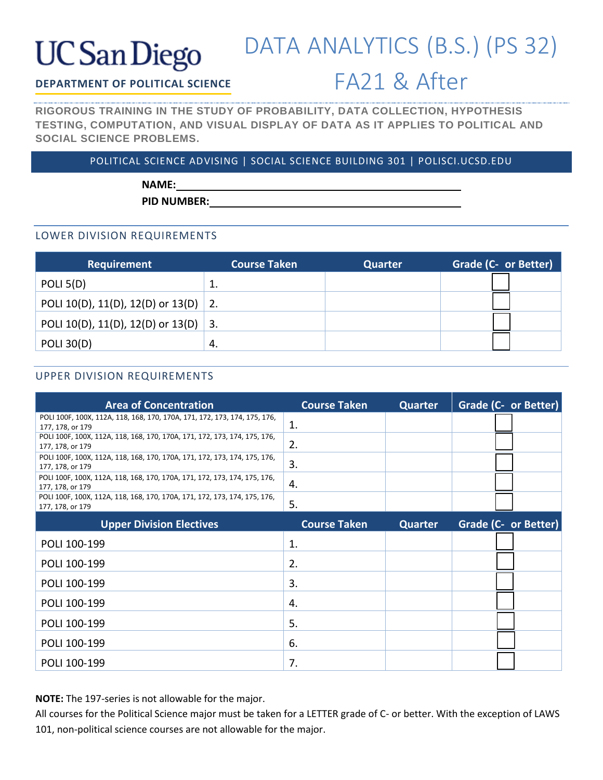# **UC** San Diego

## DATA ANALYTICS (B.S.) (PS 32)

### **DEPARTMENT OF POLITICAL SCIENCE**

### FA21 & After

**RIGOROUS TRAINING IN THE STUDY OF PROBABILITY, DATA COLLECTION, HYPOTHESIS TESTING, COMPUTATION, AND VISUAL DISPLAY OF DATA AS IT APPLIES TO POLITICAL AND SOCIAL SCIENCE PROBLEMS.**

#### POLITICAL SCIENCE ADVISING | SOCIAL SCIENCE BUILDING 301 | POLISCI.UCSD.EDU

**NAME:**

**PID NUMBER:**

#### LOWER DIVISION REQUIREMENTS

| <b>Requirement</b>                   | <b>Course Taken</b> | Quarter | Grade (C- or Better) |
|--------------------------------------|---------------------|---------|----------------------|
| POLI $5(D)$                          | ᅩ                   |         |                      |
| POLI 10(D), 11(D), 12(D) or 13(D) 2. |                     |         |                      |
| POLI 10(D), 11(D), 12(D) or 13(D) 3. |                     |         |                      |
| <b>POLI 30(D)</b>                    | -4.                 |         |                      |

### UPPER DIVISION REQUIREMENTS

| <b>Area of Concentration</b>                                                                  | <b>Course Taken</b> | <b>Quarter</b> | Grade (C- or Better)        |
|-----------------------------------------------------------------------------------------------|---------------------|----------------|-----------------------------|
| POLI 100F, 100X, 112A, 118, 168, 170, 170A, 171, 172, 173, 174, 175, 176,<br>177, 178, or 179 | 1.                  |                |                             |
| POLI 100F, 100X, 112A, 118, 168, 170, 170A, 171, 172, 173, 174, 175, 176,<br>177, 178, or 179 | 2.                  |                |                             |
| POLI 100F, 100X, 112A, 118, 168, 170, 170A, 171, 172, 173, 174, 175, 176,<br>177, 178, or 179 | 3.                  |                |                             |
| POLI 100F, 100X, 112A, 118, 168, 170, 170A, 171, 172, 173, 174, 175, 176,<br>177, 178, or 179 | 4.                  |                |                             |
| POLI 100F, 100X, 112A, 118, 168, 170, 170A, 171, 172, 173, 174, 175, 176,<br>177, 178, or 179 | 5.                  |                |                             |
| <b>Upper Division Electives</b>                                                               | <b>Course Taken</b> | <b>Quarter</b> | <b>Grade (C- or Better)</b> |
| POLI 100-199                                                                                  | 1.                  |                |                             |
| POLI 100-199                                                                                  | 2.                  |                |                             |
| POLI 100-199                                                                                  | 3.                  |                |                             |
| POLI 100-199                                                                                  | 4.                  |                |                             |
| POLI 100-199                                                                                  | 5.                  |                |                             |
| POLI 100-199                                                                                  | 6.                  |                |                             |
| POLI 100-199                                                                                  | 7.                  |                |                             |

**NOTE:** The 197-series is not allowable for the major.

All courses for the Political Science major must be taken for a LETTER grade of C- or better. With the exception of LAWS 101, non-political science courses are not allowable for the major.